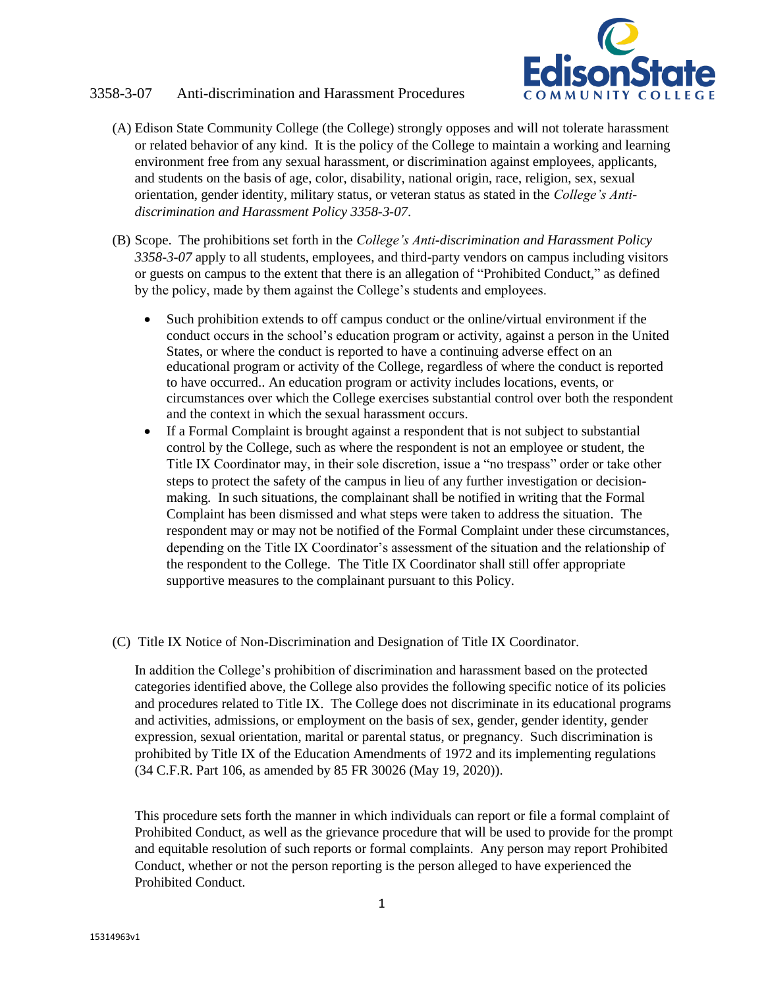# 3358-3-07 Anti-discrimination and Harassment Procedures



- (A) Edison State Community College (the College) strongly opposes and will not tolerate harassment or related behavior of any kind. It is the policy of the College to maintain a working and learning environment free from any sexual harassment, or discrimination against employees, applicants, and students on the basis of age, color, disability, national origin, race, religion, sex, sexual orientation, gender identity, military status, or veteran status as stated in the *College's Antidiscrimination and Harassment Policy 3358-3-07*.
- (B) Scope. The prohibitions set forth in the *College's Anti-discrimination and Harassment Policy 3358-3-07* apply to all students, employees, and third-party vendors on campus including visitors or guests on campus to the extent that there is an allegation of "Prohibited Conduct," as defined by the policy, made by them against the College's students and employees.
	- Such prohibition extends to off campus conduct or the online/virtual environment if the conduct occurs in the school's education program or activity, against a person in the United States, or where the conduct is reported to have a continuing adverse effect on an educational program or activity of the College, regardless of where the conduct is reported to have occurred.. An education program or activity includes locations, events, or circumstances over which the College exercises substantial control over both the respondent and the context in which the sexual harassment occurs.
	- If a Formal Complaint is brought against a respondent that is not subject to substantial control by the College, such as where the respondent is not an employee or student, the Title IX Coordinator may, in their sole discretion, issue a "no trespass" order or take other steps to protect the safety of the campus in lieu of any further investigation or decisionmaking. In such situations, the complainant shall be notified in writing that the Formal Complaint has been dismissed and what steps were taken to address the situation. The respondent may or may not be notified of the Formal Complaint under these circumstances, depending on the Title IX Coordinator's assessment of the situation and the relationship of the respondent to the College. The Title IX Coordinator shall still offer appropriate supportive measures to the complainant pursuant to this Policy.
- (C) Title IX Notice of Non-Discrimination and Designation of Title IX Coordinator.

In addition the College's prohibition of discrimination and harassment based on the protected categories identified above, the College also provides the following specific notice of its policies and procedures related to Title IX. The College does not discriminate in its educational programs and activities, admissions, or employment on the basis of sex, gender, gender identity, gender expression, sexual orientation, marital or parental status, or pregnancy. Such discrimination is prohibited by Title IX of the Education Amendments of 1972 and its implementing regulations (34 C.F.R. Part 106, as amended by 85 FR 30026 (May 19, 2020)).

This procedure sets forth the manner in which individuals can report or file a formal complaint of Prohibited Conduct, as well as the grievance procedure that will be used to provide for the prompt and equitable resolution of such reports or formal complaints. Any person may report Prohibited Conduct, whether or not the person reporting is the person alleged to have experienced the Prohibited Conduct.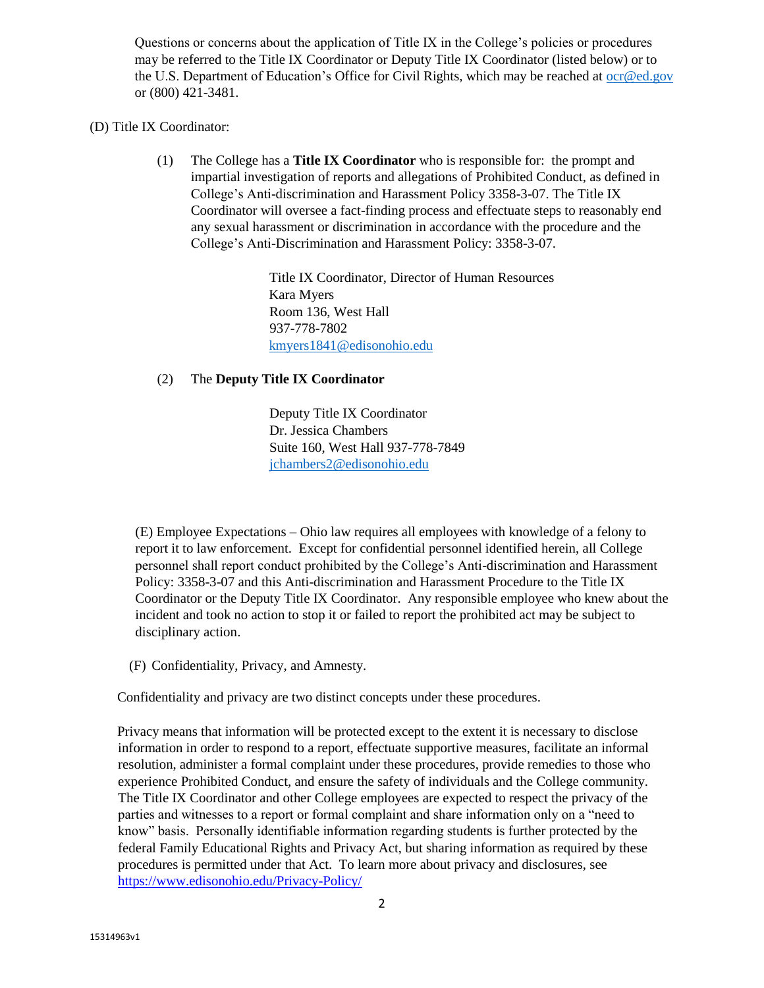Questions or concerns about the application of Title IX in the College's policies or procedures may be referred to the Title IX Coordinator or Deputy Title IX Coordinator (listed below) or to the U.S. Department of Education's Office for Civil Rights, which may be reached at [ocr@ed.gov](mailto:ocr@ed.gov) or (800) 421-3481.

## (D) Title IX Coordinator:

(1) The College has a **Title IX Coordinator** who is responsible for: the prompt and impartial investigation of reports and allegations of Prohibited Conduct, as defined in College's Anti-discrimination and Harassment Policy 3358-3-07. The Title IX Coordinator will oversee a fact-finding process and effectuate steps to reasonably end any sexual harassment or discrimination in accordance with the procedure and the College's Anti-Discrimination and Harassment Policy: 3358-3-07.

> Title IX Coordinator, Director of Human Resources Kara Myers Room 136, West Hall 937-778-7802 kmyers1841@edisonohio.edu

### (2) The **Deputy Title IX Coordinator**

Deputy Title IX Coordinator Dr. Jessica Chambers Suite 160, West Hall 937-778-7849 jchambers2@edisonohio.edu

(E) Employee Expectations – Ohio law requires all employees with knowledge of a felony to report it to law enforcement. Except for confidential personnel identified herein, all College personnel shall report conduct prohibited by the College's Anti-discrimination and Harassment Policy: 3358-3-07 and this Anti-discrimination and Harassment Procedure to the Title IX Coordinator or the Deputy Title IX Coordinator. Any responsible employee who knew about the incident and took no action to stop it or failed to report the prohibited act may be subject to disciplinary action.

(F) Confidentiality, Privacy, and Amnesty.

Confidentiality and privacy are two distinct concepts under these procedures.

Privacy means that information will be protected except to the extent it is necessary to disclose information in order to respond to a report, effectuate supportive measures, facilitate an informal resolution, administer a formal complaint under these procedures, provide remedies to those who experience Prohibited Conduct, and ensure the safety of individuals and the College community. The Title IX Coordinator and other College employees are expected to respect the privacy of the parties and witnesses to a report or formal complaint and share information only on a "need to know" basis. Personally identifiable information regarding students is further protected by the federal Family Educational Rights and Privacy Act, but sharing information as required by these procedures is permitted under that Act. To learn more about privacy and disclosures, see <https://www.edisonohio.edu/Privacy-Policy/>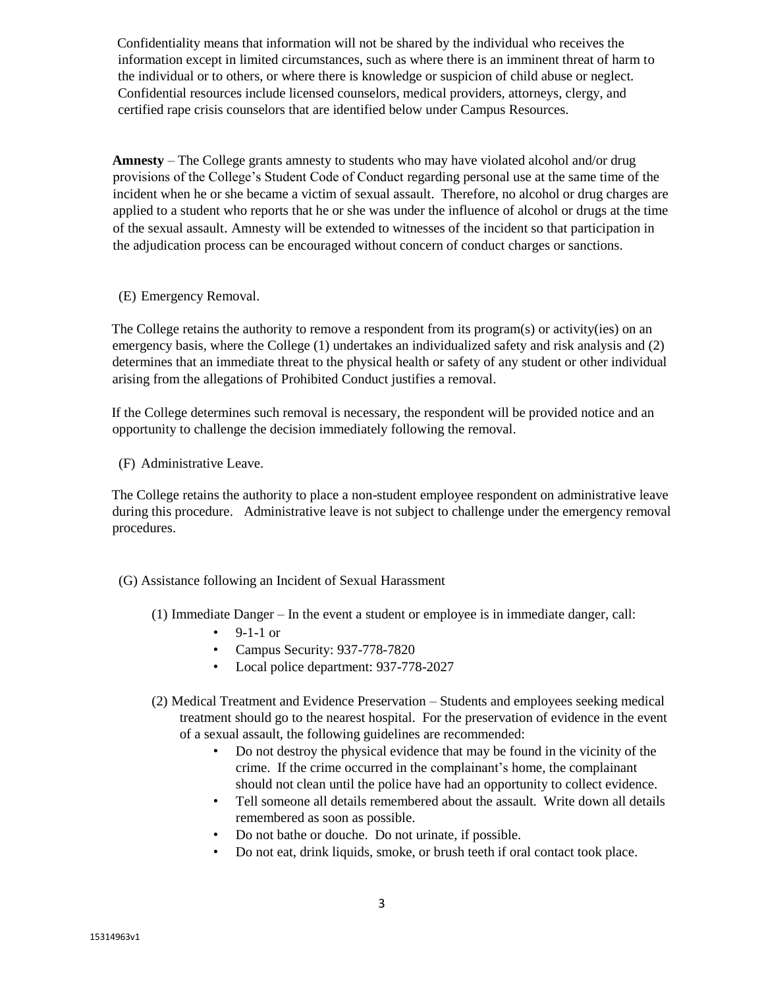Confidentiality means that information will not be shared by the individual who receives the information except in limited circumstances, such as where there is an imminent threat of harm to the individual or to others, or where there is knowledge or suspicion of child abuse or neglect. Confidential resources include licensed counselors, medical providers, attorneys, clergy, and certified rape crisis counselors that are identified below under Campus Resources.

**Amnesty** – The College grants amnesty to students who may have violated alcohol and/or drug provisions of the College's Student Code of Conduct regarding personal use at the same time of the incident when he or she became a victim of sexual assault. Therefore, no alcohol or drug charges are applied to a student who reports that he or she was under the influence of alcohol or drugs at the time of the sexual assault. Amnesty will be extended to witnesses of the incident so that participation in the adjudication process can be encouraged without concern of conduct charges or sanctions.

(E) Emergency Removal.

The College retains the authority to remove a respondent from its program(s) or activity(ies) on an emergency basis, where the College (1) undertakes an individualized safety and risk analysis and (2) determines that an immediate threat to the physical health or safety of any student or other individual arising from the allegations of Prohibited Conduct justifies a removal.

If the College determines such removal is necessary, the respondent will be provided notice and an opportunity to challenge the decision immediately following the removal.

(F) Administrative Leave.

The College retains the authority to place a non-student employee respondent on administrative leave during this procedure. Administrative leave is not subject to challenge under the emergency removal procedures.

## (G) Assistance following an Incident of Sexual Harassment

- (1) Immediate Danger In the event a student or employee is in immediate danger, call:
	- $9-1-1$  or
	- Campus Security: 937-778-7820
	- Local police department: 937-778-2027
- (2) Medical Treatment and Evidence Preservation Students and employees seeking medical treatment should go to the nearest hospital. For the preservation of evidence in the event of a sexual assault, the following guidelines are recommended:
	- Do not destroy the physical evidence that may be found in the vicinity of the crime. If the crime occurred in the complainant's home, the complainant should not clean until the police have had an opportunity to collect evidence.
	- Tell someone all details remembered about the assault. Write down all details remembered as soon as possible.
	- Do not bathe or douche. Do not urinate, if possible.
	- Do not eat, drink liquids, smoke, or brush teeth if oral contact took place.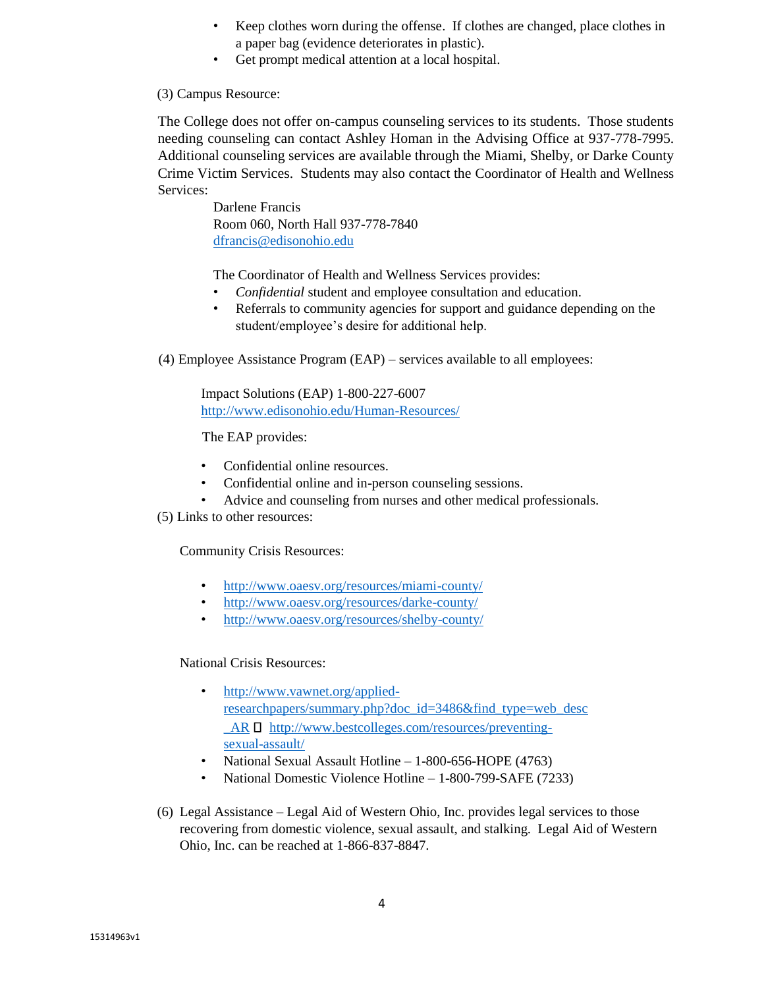- Keep clothes worn during the offense. If clothes are changed, place clothes in a paper bag (evidence deteriorates in plastic).
- Get prompt medical attention at a local hospital.

## (3) Campus Resource:

The College does not offer on-campus counseling services to its students. Those students needing counseling can contact Ashley Homan in the Advising Office at 937-778-7995. Additional counseling services are available through the Miami, Shelby, or Darke County Crime Victim Services. Students may also contact the Coordinator of Health and Wellness Services:

> Darlene Francis Room 060, North Hall 937-778-7840 dfrancis@edisonohio.edu

The Coordinator of Health and Wellness Services provides:

- *Confidential* student and employee consultation and education.
- Referrals to community agencies for support and guidance depending on the student/employee's desire for additional help.
- (4) Employee Assistance Program (EAP) services available to all employees:

Impact Solutions (EAP) 1-800-227-6007 <http://www.edisonohio.edu/Human-Resources/>

The EAP provides:

- Confidential online resources.
- Confidential online and in-person counseling sessions.
- Advice and counseling from nurses and other medical professionals.
- (5) Links to other resources:

Community Crisis Resources:

- <http://www.oaesv.org/resources/miami-county/>
- <http://www.oaesv.org/resources/darke-county/>
- <http://www.oaesv.org/resources/shelby-county/>

National Crisis Resources:

- [http://www.vawnet.org/applied](http://www.vawnet.org/applied-research-papers/summary.php?doc_id=3486&find_type=web_desc_AR)[researchpapers/summary.php?doc\\_id=3486&find\\_type=web\\_desc](http://www.vawnet.org/applied-research-papers/summary.php?doc_id=3486&find_type=web_desc_AR)  $AR \Box$  [http://www.bestcolleges.com/resources/preventing](http://www.bestcolleges.com/resources/preventing-sexual-assault/)[sexual-assault/](http://www.bestcolleges.com/resources/preventing-sexual-assault/)
- National Sexual Assault Hotline 1-800-656-HOPE (4763)
- National Domestic Violence Hotline 1-800-799-SAFE (7233)

4

(6) Legal Assistance – Legal Aid of Western Ohio, Inc. provides legal services to those recovering from domestic violence, sexual assault, and stalking. Legal Aid of Western Ohio, Inc. can be reached at 1-866-837-8847.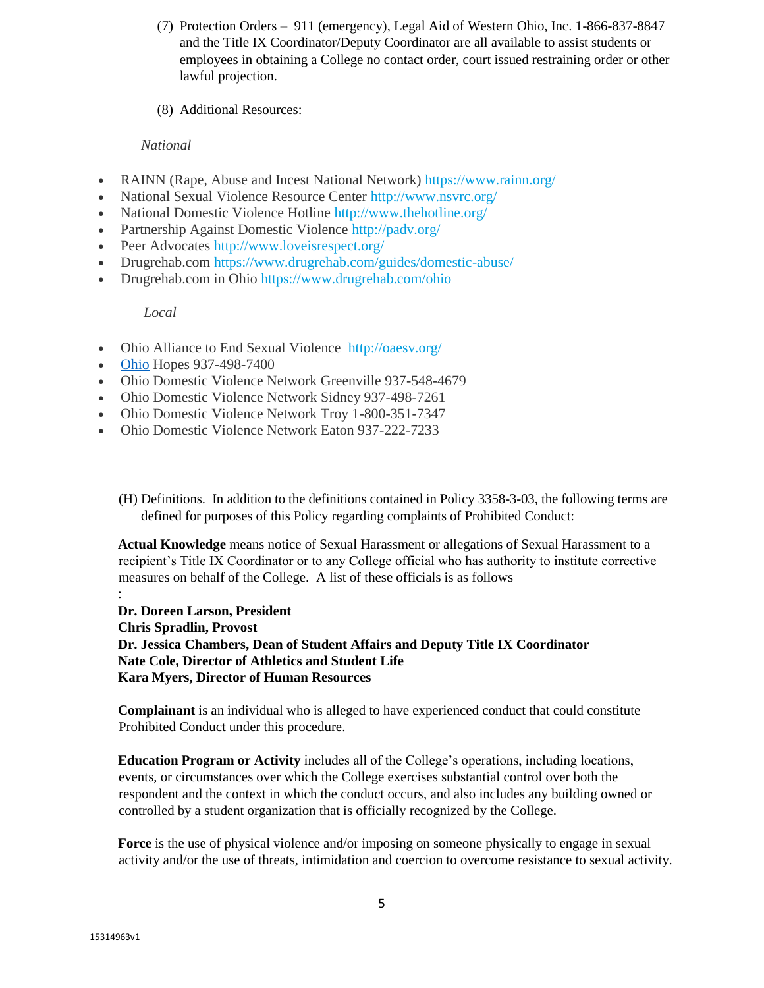- (7) Protection Orders 911 (emergency), Legal Aid of Western Ohio, Inc. 1-866-837-8847 and the Title IX Coordinator/Deputy Coordinator are all available to assist students or employees in obtaining a College no contact order, court issued restraining order or other lawful projection.
- (8) Additional Resources:

# *National*

- RAINN (Rape, Abuse and Incest National Network) <https://www.rainn.org/>
- National Sexual Violence Resource Center <http://www.nsvrc.org/>
- National Domestic Violence Hotline <http://www.thehotline.org/>
- Partnership Against Domestic Violence <http://padv.org/>
- Peer Advocates <http://www.loveisrespect.org/>
- Drugrehab.com<https://www.drugrehab.com/guides/domestic-abuse/>
- Drugrehab.com in Ohio<https://www.drugrehab.com/ohio>

## *Local*

- Ohio Alliance to End Sexual Violence <http://oaesv.org/>
- [Ohio](file:///C:/Users/jchambers2/AppData/Local/Microsoft/Windows/INetCache/Content.Outlook/1NS52AF9/Ohio) Hopes 937-498-7400
- Ohio Domestic Violence Network Greenville 937-548-4679
- Ohio Domestic Violence Network Sidney 937-498-7261
- Ohio Domestic Violence Network Troy 1-800-351-7347
- Ohio Domestic Violence Network Eaton 937-222-7233
	- (H) Definitions. In addition to the definitions contained in Policy 3358-3-03, the following terms are defined for purposes of this Policy regarding complaints of Prohibited Conduct:

**Actual Knowledge** means notice of Sexual Harassment or allegations of Sexual Harassment to a recipient's Title IX Coordinator or to any College official who has authority to institute corrective measures on behalf of the College. A list of these officials is as follows

:

**Dr. Doreen Larson, President Chris Spradlin, Provost Dr. Jessica Chambers, Dean of Student Affairs and Deputy Title IX Coordinator Nate Cole, Director of Athletics and Student Life Kara Myers, Director of Human Resources**

**Complainant** is an individual who is alleged to have experienced conduct that could constitute Prohibited Conduct under this procedure.

**Education Program or Activity** includes all of the College's operations, including locations, events, or circumstances over which the College exercises substantial control over both the respondent and the context in which the conduct occurs, and also includes any building owned or controlled by a student organization that is officially recognized by the College.

Force is the use of physical violence and/or imposing on someone physically to engage in sexual activity and/or the use of threats, intimidation and coercion to overcome resistance to sexual activity.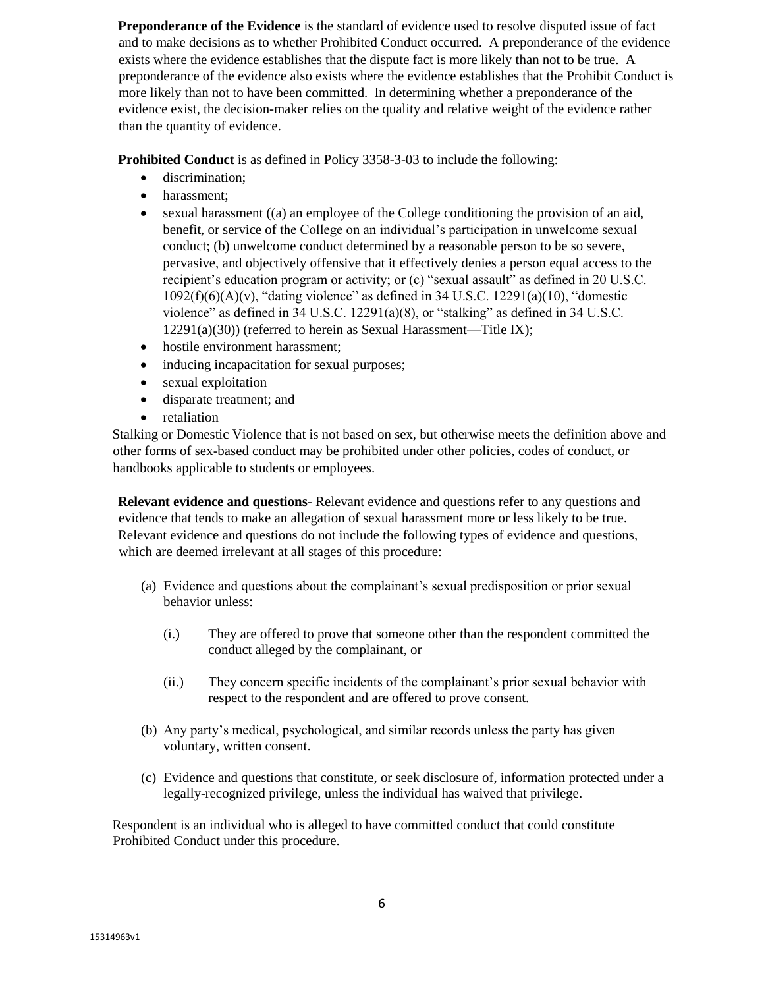**Preponderance of the Evidence** is the standard of evidence used to resolve disputed issue of fact and to make decisions as to whether Prohibited Conduct occurred. A preponderance of the evidence exists where the evidence establishes that the dispute fact is more likely than not to be true. A preponderance of the evidence also exists where the evidence establishes that the Prohibit Conduct is more likely than not to have been committed. In determining whether a preponderance of the evidence exist, the decision-maker relies on the quality and relative weight of the evidence rather than the quantity of evidence.

**Prohibited Conduct** is as defined in Policy 3358-3-03 to include the following:

- discrimination;
- harassment;
- sexual harassment ((a) an employee of the College conditioning the provision of an aid, benefit, or service of the College on an individual's participation in unwelcome sexual conduct; (b) unwelcome conduct determined by a reasonable person to be so severe, pervasive, and objectively offensive that it effectively denies a person equal access to the recipient's education program or activity; or (c) "sexual assault" as defined in 20 U.S.C.  $1092(f)(6)(A)(v)$ , "dating violence" as defined in 34 U.S.C.  $12291(a)(10)$ , "domestic violence" as defined in 34 U.S.C. 12291(a)(8), or "stalking" as defined in 34 U.S.C. 12291(a)(30)) (referred to herein as Sexual Harassment—Title IX);
- hostile environment harassment;
- inducing incapacitation for sexual purposes;
- sexual exploitation
- disparate treatment; and
- retaliation

Stalking or Domestic Violence that is not based on sex, but otherwise meets the definition above and other forms of sex-based conduct may be prohibited under other policies, codes of conduct, or handbooks applicable to students or employees.

**Relevant evidence and questions-** Relevant evidence and questions refer to any questions and evidence that tends to make an allegation of sexual harassment more or less likely to be true. Relevant evidence and questions do not include the following types of evidence and questions, which are deemed irrelevant at all stages of this procedure:

- (a) Evidence and questions about the complainant's sexual predisposition or prior sexual behavior unless:
	- (i.) They are offered to prove that someone other than the respondent committed the conduct alleged by the complainant, or
	- (ii.) They concern specific incidents of the complainant's prior sexual behavior with respect to the respondent and are offered to prove consent.
- (b) Any party's medical, psychological, and similar records unless the party has given voluntary, written consent.
- (c) Evidence and questions that constitute, or seek disclosure of, information protected under a legally-recognized privilege, unless the individual has waived that privilege.

Respondent is an individual who is alleged to have committed conduct that could constitute Prohibited Conduct under this procedure.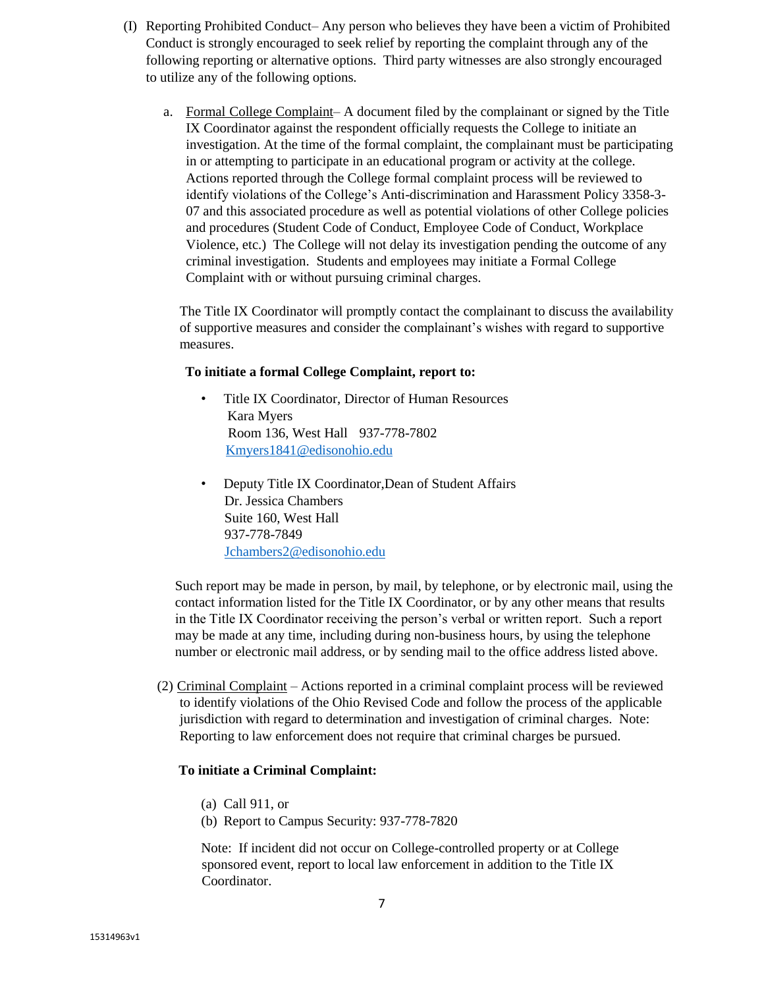- (I) Reporting Prohibited Conduct– Any person who believes they have been a victim of Prohibited Conduct is strongly encouraged to seek relief by reporting the complaint through any of the following reporting or alternative options. Third party witnesses are also strongly encouraged to utilize any of the following options.
	- a. Formal College Complaint– A document filed by the complainant or signed by the Title IX Coordinator against the respondent officially requests the College to initiate an investigation. At the time of the formal complaint, the complainant must be participating in or attempting to participate in an educational program or activity at the college. Actions reported through the College formal complaint process will be reviewed to identify violations of the College's Anti-discrimination and Harassment Policy 3358-3- 07 and this associated procedure as well as potential violations of other College policies and procedures (Student Code of Conduct, Employee Code of Conduct, Workplace Violence, etc.) The College will not delay its investigation pending the outcome of any criminal investigation. Students and employees may initiate a Formal College Complaint with or without pursuing criminal charges.

The Title IX Coordinator will promptly contact the complainant to discuss the availability of supportive measures and consider the complainant's wishes with regard to supportive measures.

#### **To initiate a formal College Complaint, report to:**

- Title IX Coordinator, Director of Human Resources Kara Myers Room 136, West Hall 937-778-7802 Kmyers1841@edisonohio.edu
- Deputy Title IX Coordinator,Dean of Student Affairs Dr. Jessica Chambers Suite 160, West Hall 937-778-7849 Jchambers2@edisonohio.edu

Such report may be made in person, by mail, by telephone, or by electronic mail, using the contact information listed for the Title IX Coordinator, or by any other means that results in the Title IX Coordinator receiving the person's verbal or written report. Such a report may be made at any time, including during non-business hours, by using the telephone number or electronic mail address, or by sending mail to the office address listed above.

(2) Criminal Complaint – Actions reported in a criminal complaint process will be reviewed to identify violations of the Ohio Revised Code and follow the process of the applicable jurisdiction with regard to determination and investigation of criminal charges. Note: Reporting to law enforcement does not require that criminal charges be pursued.

#### **To initiate a Criminal Complaint:**

- (a) Call 911, or
- (b) Report to Campus Security: 937-778-7820

Note: If incident did not occur on College-controlled property or at College sponsored event, report to local law enforcement in addition to the Title IX Coordinator.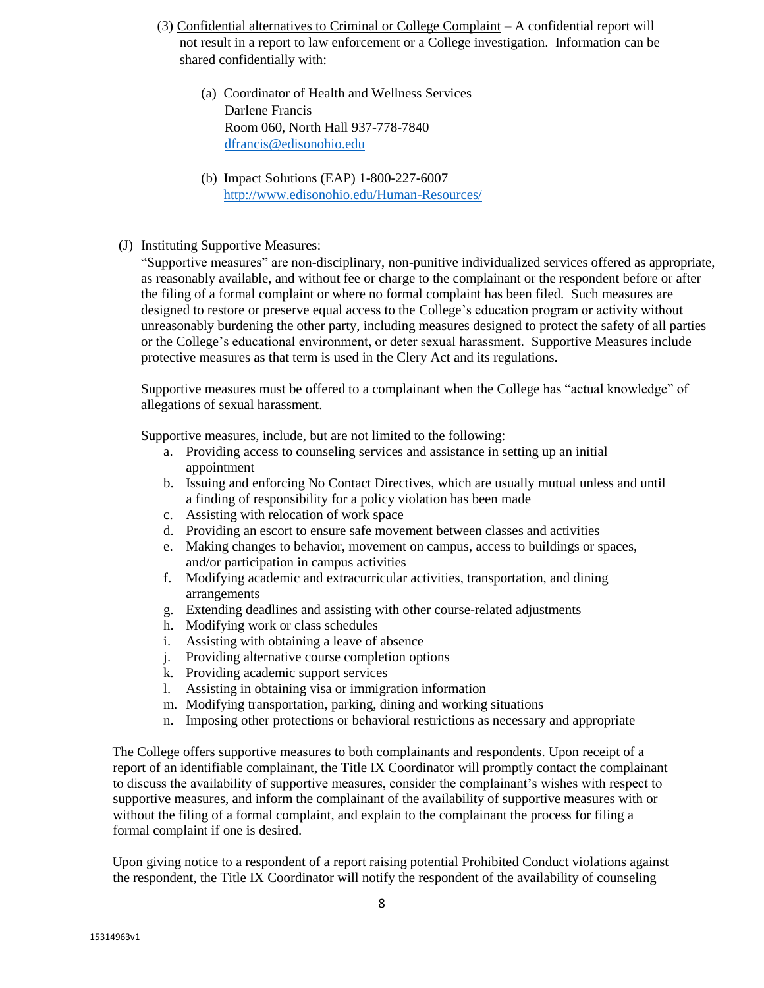- (3) Confidential alternatives to Criminal or College Complaint A confidential report will not result in a report to law enforcement or a College investigation. Information can be shared confidentially with:
	- (a) Coordinator of Health and Wellness Services Darlene Francis Room 060, North Hall 937-778-7840 dfrancis@edisonohio.edu
	- (b) Impact Solutions (EAP) 1-800-227-6007 <http://www.edisonohio.edu/Human-Resources/>
- (J) Instituting Supportive Measures:

"Supportive measures" are non-disciplinary, non-punitive individualized services offered as appropriate, as reasonably available, and without fee or charge to the complainant or the respondent before or after the filing of a formal complaint or where no formal complaint has been filed. Such measures are designed to restore or preserve equal access to the College's education program or activity without unreasonably burdening the other party, including measures designed to protect the safety of all parties or the College's educational environment, or deter sexual harassment. Supportive Measures include protective measures as that term is used in the Clery Act and its regulations.

Supportive measures must be offered to a complainant when the College has "actual knowledge" of allegations of sexual harassment.

Supportive measures, include, but are not limited to the following:

- a. Providing access to counseling services and assistance in setting up an initial appointment
- b. Issuing and enforcing No Contact Directives, which are usually mutual unless and until a finding of responsibility for a policy violation has been made
- c. Assisting with relocation of work space
- d. Providing an escort to ensure safe movement between classes and activities
- e. Making changes to behavior, movement on campus, access to buildings or spaces, and/or participation in campus activities
- f. Modifying academic and extracurricular activities, transportation, and dining arrangements
- g. Extending deadlines and assisting with other course-related adjustments
- h. Modifying work or class schedules
- i. Assisting with obtaining a leave of absence
- j. Providing alternative course completion options
- k. Providing academic support services
- l. Assisting in obtaining visa or immigration information
- m. Modifying transportation, parking, dining and working situations
- n. Imposing other protections or behavioral restrictions as necessary and appropriate

The College offers supportive measures to both complainants and respondents. Upon receipt of a report of an identifiable complainant, the Title IX Coordinator will promptly contact the complainant to discuss the availability of supportive measures, consider the complainant's wishes with respect to supportive measures, and inform the complainant of the availability of supportive measures with or without the filing of a formal complaint, and explain to the complainant the process for filing a formal complaint if one is desired.

Upon giving notice to a respondent of a report raising potential Prohibited Conduct violations against the respondent, the Title IX Coordinator will notify the respondent of the availability of counseling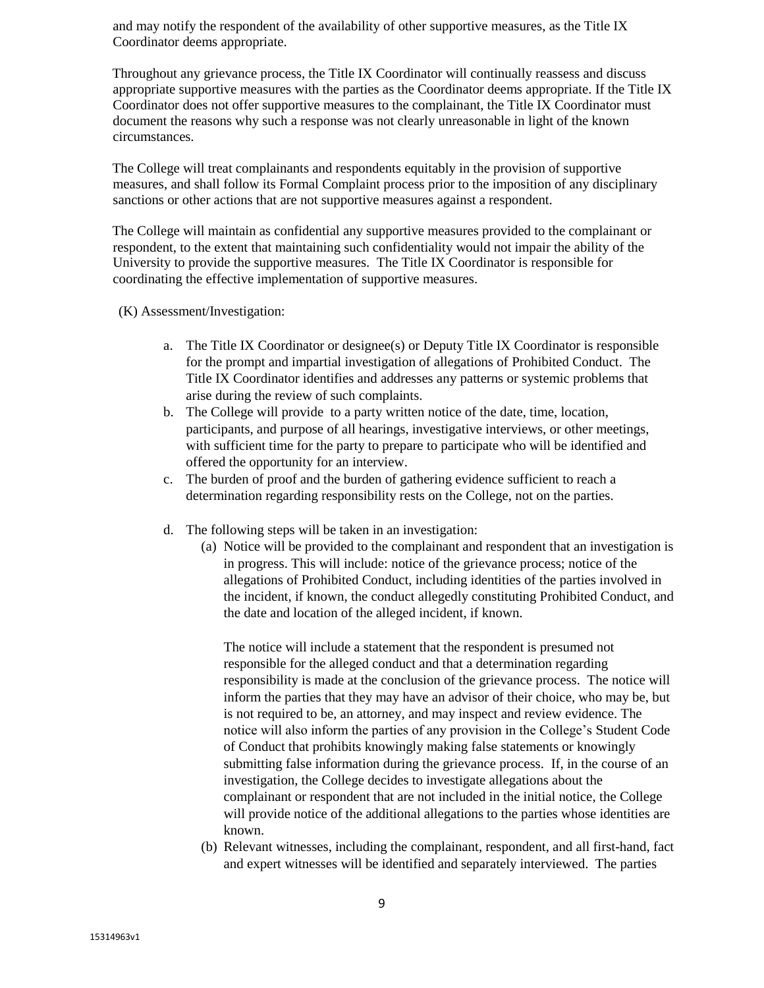and may notify the respondent of the availability of other supportive measures, as the Title IX Coordinator deems appropriate.

Throughout any grievance process, the Title IX Coordinator will continually reassess and discuss appropriate supportive measures with the parties as the Coordinator deems appropriate. If the Title IX Coordinator does not offer supportive measures to the complainant, the Title IX Coordinator must document the reasons why such a response was not clearly unreasonable in light of the known circumstances.

The College will treat complainants and respondents equitably in the provision of supportive measures, and shall follow its Formal Complaint process prior to the imposition of any disciplinary sanctions or other actions that are not supportive measures against a respondent.

The College will maintain as confidential any supportive measures provided to the complainant or respondent, to the extent that maintaining such confidentiality would not impair the ability of the University to provide the supportive measures. The Title IX Coordinator is responsible for coordinating the effective implementation of supportive measures.

(K) Assessment/Investigation:

- a. The Title IX Coordinator or designee(s) or Deputy Title IX Coordinator is responsible for the prompt and impartial investigation of allegations of Prohibited Conduct. The Title IX Coordinator identifies and addresses any patterns or systemic problems that arise during the review of such complaints.
- b. The College will provide to a party written notice of the date, time, location, participants, and purpose of all hearings, investigative interviews, or other meetings, with sufficient time for the party to prepare to participate who will be identified and offered the opportunity for an interview.
- c. The burden of proof and the burden of gathering evidence sufficient to reach a determination regarding responsibility rests on the College, not on the parties.
- d. The following steps will be taken in an investigation:
	- (a) Notice will be provided to the complainant and respondent that an investigation is in progress. This will include: notice of the grievance process; notice of the allegations of Prohibited Conduct, including identities of the parties involved in the incident, if known, the conduct allegedly constituting Prohibited Conduct, and the date and location of the alleged incident, if known.

The notice will include a statement that the respondent is presumed not responsible for the alleged conduct and that a determination regarding responsibility is made at the conclusion of the grievance process. The notice will inform the parties that they may have an advisor of their choice, who may be, but is not required to be, an attorney, and may inspect and review evidence. The notice will also inform the parties of any provision in the College's Student Code of Conduct that prohibits knowingly making false statements or knowingly submitting false information during the grievance process. If, in the course of an investigation, the College decides to investigate allegations about the complainant or respondent that are not included in the initial notice, the College will provide notice of the additional allegations to the parties whose identities are known.

(b) Relevant witnesses, including the complainant, respondent, and all first-hand, fact and expert witnesses will be identified and separately interviewed. The parties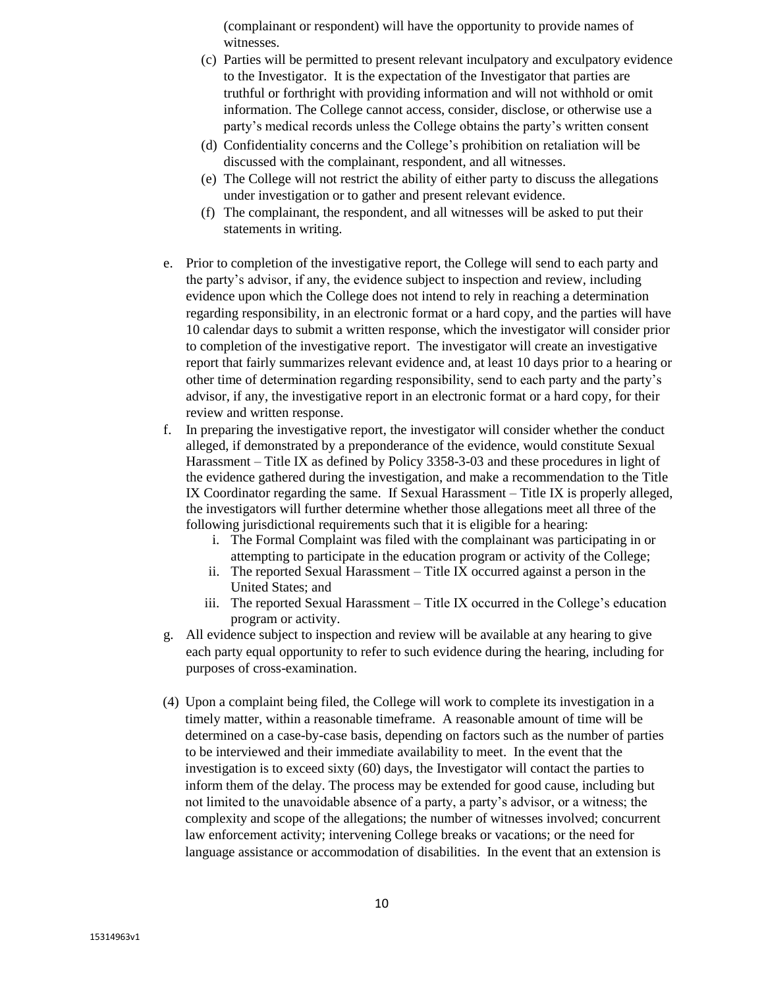(complainant or respondent) will have the opportunity to provide names of witnesses.

- (c) Parties will be permitted to present relevant inculpatory and exculpatory evidence to the Investigator. It is the expectation of the Investigator that parties are truthful or forthright with providing information and will not withhold or omit information. The College cannot access, consider, disclose, or otherwise use a party's medical records unless the College obtains the party's written consent
- (d) Confidentiality concerns and the College's prohibition on retaliation will be discussed with the complainant, respondent, and all witnesses.
- (e) The College will not restrict the ability of either party to discuss the allegations under investigation or to gather and present relevant evidence.
- (f) The complainant, the respondent, and all witnesses will be asked to put their statements in writing.
- e. Prior to completion of the investigative report, the College will send to each party and the party's advisor, if any, the evidence subject to inspection and review, including evidence upon which the College does not intend to rely in reaching a determination regarding responsibility, in an electronic format or a hard copy, and the parties will have 10 calendar days to submit a written response, which the investigator will consider prior to completion of the investigative report. The investigator will create an investigative report that fairly summarizes relevant evidence and, at least 10 days prior to a hearing or other time of determination regarding responsibility, send to each party and the party's advisor, if any, the investigative report in an electronic format or a hard copy, for their review and written response.
- f. In preparing the investigative report, the investigator will consider whether the conduct alleged, if demonstrated by a preponderance of the evidence, would constitute Sexual Harassment – Title IX as defined by Policy 3358-3-03 and these procedures in light of the evidence gathered during the investigation, and make a recommendation to the Title IX Coordinator regarding the same. If Sexual Harassment – Title IX is properly alleged, the investigators will further determine whether those allegations meet all three of the following jurisdictional requirements such that it is eligible for a hearing:
	- i. The Formal Complaint was filed with the complainant was participating in or attempting to participate in the education program or activity of the College;
	- ii. The reported Sexual Harassment Title IX occurred against a person in the United States; and
	- iii. The reported Sexual Harassment Title IX occurred in the College's education program or activity.
- g. All evidence subject to inspection and review will be available at any hearing to give each party equal opportunity to refer to such evidence during the hearing, including for purposes of cross-examination.
- (4) Upon a complaint being filed, the College will work to complete its investigation in a timely matter, within a reasonable timeframe. A reasonable amount of time will be determined on a case-by-case basis, depending on factors such as the number of parties to be interviewed and their immediate availability to meet. In the event that the investigation is to exceed sixty (60) days, the Investigator will contact the parties to inform them of the delay. The process may be extended for good cause, including but not limited to the unavoidable absence of a party, a party's advisor, or a witness; the complexity and scope of the allegations; the number of witnesses involved; concurrent law enforcement activity; intervening College breaks or vacations; or the need for language assistance or accommodation of disabilities. In the event that an extension is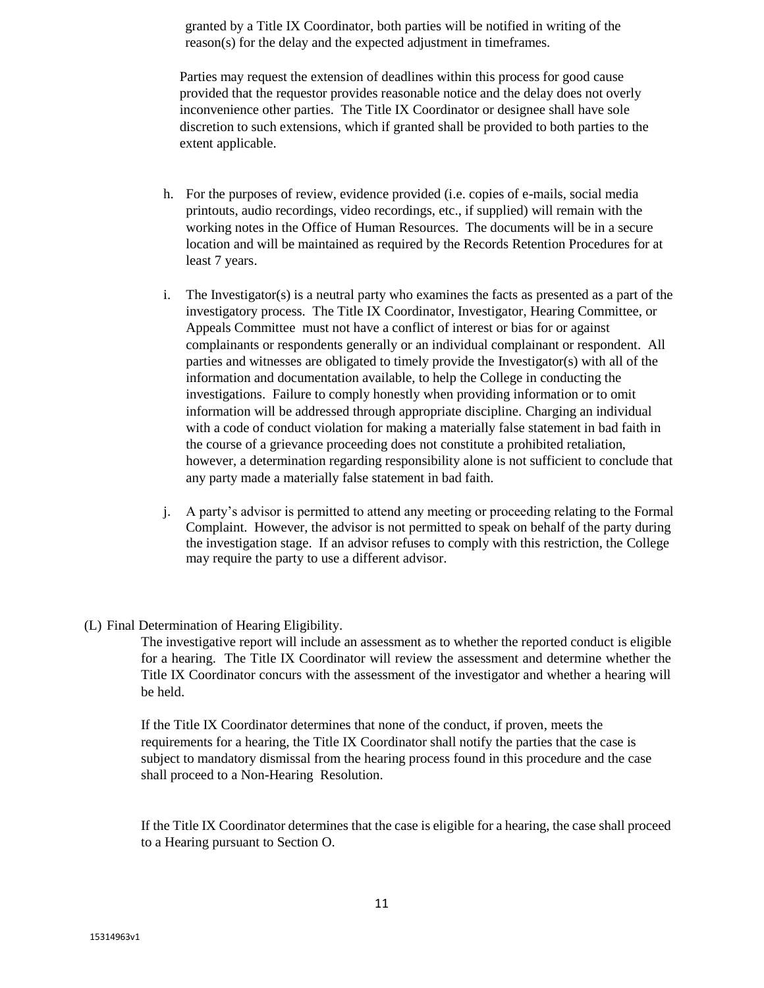granted by a Title IX Coordinator, both parties will be notified in writing of the reason(s) for the delay and the expected adjustment in timeframes.

Parties may request the extension of deadlines within this process for good cause provided that the requestor provides reasonable notice and the delay does not overly inconvenience other parties. The Title IX Coordinator or designee shall have sole discretion to such extensions, which if granted shall be provided to both parties to the extent applicable.

- h. For the purposes of review, evidence provided (i.e. copies of e-mails, social media printouts, audio recordings, video recordings, etc., if supplied) will remain with the working notes in the Office of Human Resources. The documents will be in a secure location and will be maintained as required by the Records Retention Procedures for at least 7 years.
- i. The Investigator(s) is a neutral party who examines the facts as presented as a part of the investigatory process. The Title IX Coordinator, Investigator, Hearing Committee, or Appeals Committee must not have a conflict of interest or bias for or against complainants or respondents generally or an individual complainant or respondent. All parties and witnesses are obligated to timely provide the Investigator(s) with all of the information and documentation available, to help the College in conducting the investigations. Failure to comply honestly when providing information or to omit information will be addressed through appropriate discipline. Charging an individual with a code of conduct violation for making a materially false statement in bad faith in the course of a grievance proceeding does not constitute a prohibited retaliation, however, a determination regarding responsibility alone is not sufficient to conclude that any party made a materially false statement in bad faith.
- j. A party's advisor is permitted to attend any meeting or proceeding relating to the Formal Complaint. However, the advisor is not permitted to speak on behalf of the party during the investigation stage. If an advisor refuses to comply with this restriction, the College may require the party to use a different advisor.
- (L) Final Determination of Hearing Eligibility.

The investigative report will include an assessment as to whether the reported conduct is eligible for a hearing. The Title IX Coordinator will review the assessment and determine whether the Title IX Coordinator concurs with the assessment of the investigator and whether a hearing will be held.

If the Title IX Coordinator determines that none of the conduct, if proven, meets the requirements for a hearing, the Title IX Coordinator shall notify the parties that the case is subject to mandatory dismissal from the hearing process found in this procedure and the case shall proceed to a Non-Hearing Resolution.

If the Title IX Coordinator determines that the case is eligible for a hearing, the case shall proceed to a Hearing pursuant to Section O.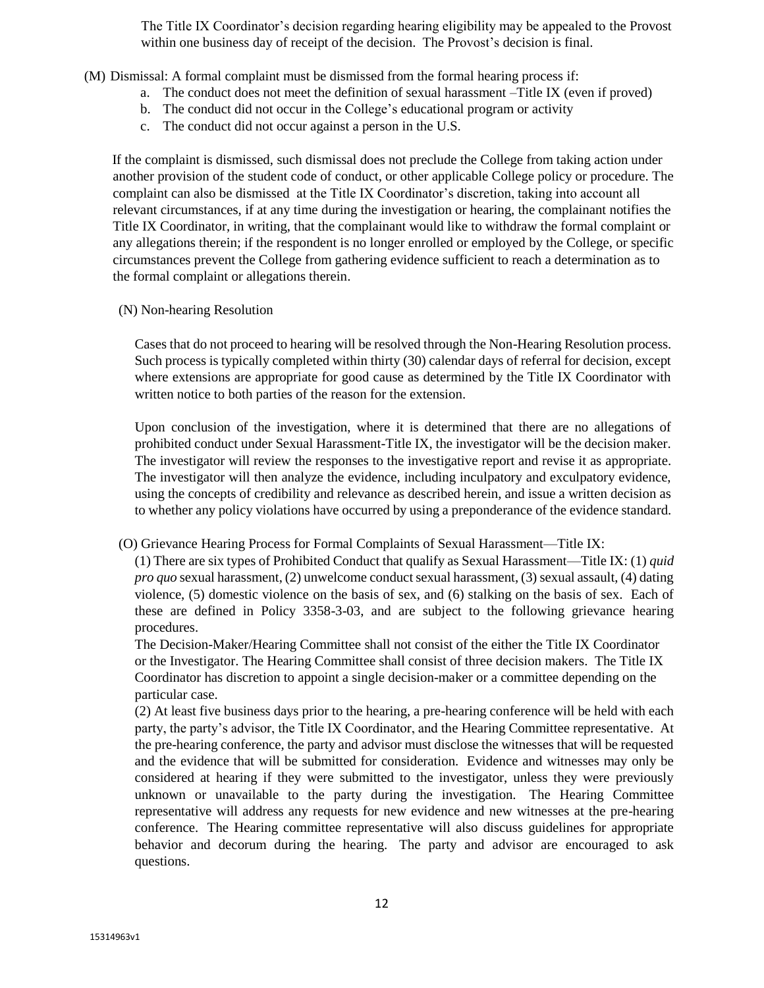The Title IX Coordinator's decision regarding hearing eligibility may be appealed to the Provost within one business day of receipt of the decision. The Provost's decision is final.

- (M) Dismissal: A formal complaint must be dismissed from the formal hearing process if:
	- a. The conduct does not meet the definition of sexual harassment –Title IX (even if proved)
	- b. The conduct did not occur in the College's educational program or activity
	- c. The conduct did not occur against a person in the U.S.

If the complaint is dismissed, such dismissal does not preclude the College from taking action under another provision of the student code of conduct, or other applicable College policy or procedure. The complaint can also be dismissed at the Title IX Coordinator's discretion, taking into account all relevant circumstances, if at any time during the investigation or hearing, the complainant notifies the Title IX Coordinator, in writing, that the complainant would like to withdraw the formal complaint or any allegations therein; if the respondent is no longer enrolled or employed by the College, or specific circumstances prevent the College from gathering evidence sufficient to reach a determination as to the formal complaint or allegations therein.

#### (N) Non-hearing Resolution

Cases that do not proceed to hearing will be resolved through the Non-Hearing Resolution process. Such process is typically completed within thirty (30) calendar days of referral for decision, except where extensions are appropriate for good cause as determined by the Title IX Coordinator with written notice to both parties of the reason for the extension.

Upon conclusion of the investigation, where it is determined that there are no allegations of prohibited conduct under Sexual Harassment-Title IX, the investigator will be the decision maker. The investigator will review the responses to the investigative report and revise it as appropriate. The investigator will then analyze the evidence, including inculpatory and exculpatory evidence, using the concepts of credibility and relevance as described herein, and issue a written decision as to whether any policy violations have occurred by using a preponderance of the evidence standard.

(O) Grievance Hearing Process for Formal Complaints of Sexual Harassment—Title IX:

(1) There are six types of Prohibited Conduct that qualify as Sexual Harassment—Title IX: (1) *quid pro quo* sexual harassment, (2) unwelcome conduct sexual harassment, (3) sexual assault, (4) dating violence, (5) domestic violence on the basis of sex, and (6) stalking on the basis of sex. Each of these are defined in Policy 3358-3-03, and are subject to the following grievance hearing procedures.

The Decision-Maker/Hearing Committee shall not consist of the either the Title IX Coordinator or the Investigator. The Hearing Committee shall consist of three decision makers. The Title IX Coordinator has discretion to appoint a single decision-maker or a committee depending on the particular case.

(2) At least five business days prior to the hearing, a pre-hearing conference will be held with each party, the party's advisor, the Title IX Coordinator, and the Hearing Committee representative. At the pre-hearing conference, the party and advisor must disclose the witnesses that will be requested and the evidence that will be submitted for consideration. Evidence and witnesses may only be considered at hearing if they were submitted to the investigator, unless they were previously unknown or unavailable to the party during the investigation. The Hearing Committee representative will address any requests for new evidence and new witnesses at the pre-hearing conference. The Hearing committee representative will also discuss guidelines for appropriate behavior and decorum during the hearing. The party and advisor are encouraged to ask questions.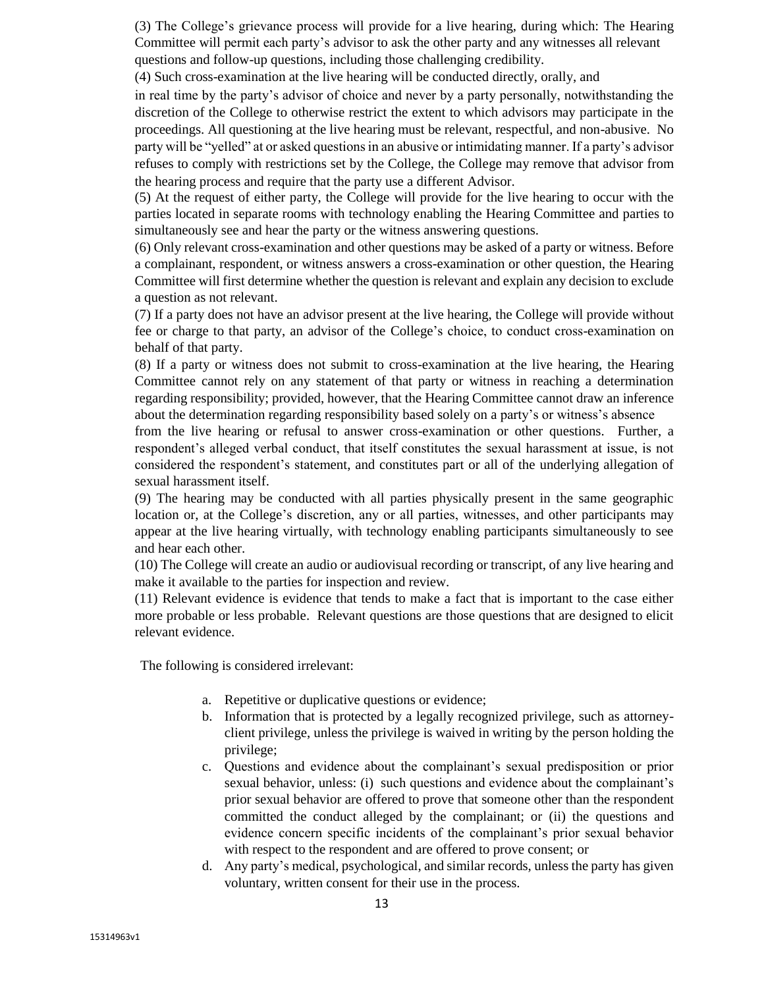(3) The College's grievance process will provide for a live hearing, during which: The Hearing Committee will permit each party's advisor to ask the other party and any witnesses all relevant questions and follow-up questions, including those challenging credibility.

(4) Such cross-examination at the live hearing will be conducted directly, orally, and

in real time by the party's advisor of choice and never by a party personally, notwithstanding the discretion of the College to otherwise restrict the extent to which advisors may participate in the proceedings. All questioning at the live hearing must be relevant, respectful, and non-abusive. No party will be "yelled" at or asked questions in an abusive or intimidating manner. If a party's advisor refuses to comply with restrictions set by the College, the College may remove that advisor from the hearing process and require that the party use a different Advisor.

(5) At the request of either party, the College will provide for the live hearing to occur with the parties located in separate rooms with technology enabling the Hearing Committee and parties to simultaneously see and hear the party or the witness answering questions.

(6) Only relevant cross-examination and other questions may be asked of a party or witness. Before a complainant, respondent, or witness answers a cross-examination or other question, the Hearing Committee will first determine whether the question is relevant and explain any decision to exclude a question as not relevant.

(7) If a party does not have an advisor present at the live hearing, the College will provide without fee or charge to that party, an advisor of the College's choice, to conduct cross-examination on behalf of that party.

(8) If a party or witness does not submit to cross-examination at the live hearing, the Hearing Committee cannot rely on any statement of that party or witness in reaching a determination regarding responsibility; provided, however, that the Hearing Committee cannot draw an inference about the determination regarding responsibility based solely on a party's or witness's absence

from the live hearing or refusal to answer cross-examination or other questions. Further, a respondent's alleged verbal conduct, that itself constitutes the sexual harassment at issue, is not considered the respondent's statement, and constitutes part or all of the underlying allegation of sexual harassment itself.

(9) The hearing may be conducted with all parties physically present in the same geographic location or, at the College's discretion, any or all parties, witnesses, and other participants may appear at the live hearing virtually, with technology enabling participants simultaneously to see and hear each other.

(10) The College will create an audio or audiovisual recording or transcript, of any live hearing and make it available to the parties for inspection and review.

(11) Relevant evidence is evidence that tends to make a fact that is important to the case either more probable or less probable. Relevant questions are those questions that are designed to elicit relevant evidence.

The following is considered irrelevant:

- a. Repetitive or duplicative questions or evidence;
- b. Information that is protected by a legally recognized privilege, such as attorneyclient privilege, unless the privilege is waived in writing by the person holding the privilege;
- c. Questions and evidence about the complainant's sexual predisposition or prior sexual behavior, unless: (i) such questions and evidence about the complainant's prior sexual behavior are offered to prove that someone other than the respondent committed the conduct alleged by the complainant; or (ii) the questions and evidence concern specific incidents of the complainant's prior sexual behavior with respect to the respondent and are offered to prove consent; or
- d. Any party's medical, psychological, and similar records, unless the party has given voluntary, written consent for their use in the process.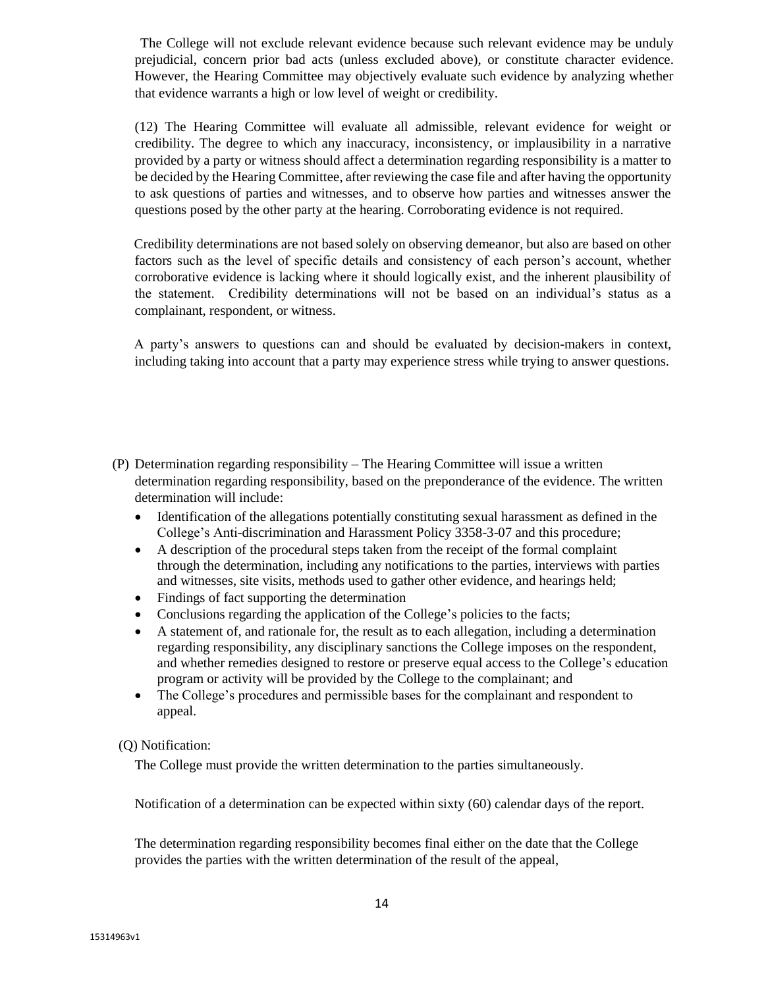The College will not exclude relevant evidence because such relevant evidence may be unduly prejudicial, concern prior bad acts (unless excluded above), or constitute character evidence. However, the Hearing Committee may objectively evaluate such evidence by analyzing whether that evidence warrants a high or low level of weight or credibility.

(12) The Hearing Committee will evaluate all admissible, relevant evidence for weight or credibility. The degree to which any inaccuracy, inconsistency, or implausibility in a narrative provided by a party or witness should affect a determination regarding responsibility is a matter to be decided by the Hearing Committee, after reviewing the case file and after having the opportunity to ask questions of parties and witnesses, and to observe how parties and witnesses answer the questions posed by the other party at the hearing. Corroborating evidence is not required.

Credibility determinations are not based solely on observing demeanor, but also are based on other factors such as the level of specific details and consistency of each person's account, whether corroborative evidence is lacking where it should logically exist, and the inherent plausibility of the statement. Credibility determinations will not be based on an individual's status as a complainant, respondent, or witness.

A party's answers to questions can and should be evaluated by decision-makers in context, including taking into account that a party may experience stress while trying to answer questions.

- (P) Determination regarding responsibility The Hearing Committee will issue a written determination regarding responsibility, based on the preponderance of the evidence. The written determination will include:
	- Identification of the allegations potentially constituting sexual harassment as defined in the College's Anti-discrimination and Harassment Policy 3358-3-07 and this procedure;
	- A description of the procedural steps taken from the receipt of the formal complaint through the determination, including any notifications to the parties, interviews with parties and witnesses, site visits, methods used to gather other evidence, and hearings held;
	- Findings of fact supporting the determination
	- Conclusions regarding the application of the College's policies to the facts;
	- A statement of, and rationale for, the result as to each allegation, including a determination regarding responsibility, any disciplinary sanctions the College imposes on the respondent, and whether remedies designed to restore or preserve equal access to the College's education program or activity will be provided by the College to the complainant; and
	- The College's procedures and permissible bases for the complainant and respondent to appeal.

(Q) Notification:

The College must provide the written determination to the parties simultaneously.

Notification of a determination can be expected within sixty (60) calendar days of the report.

The determination regarding responsibility becomes final either on the date that the College provides the parties with the written determination of the result of the appeal,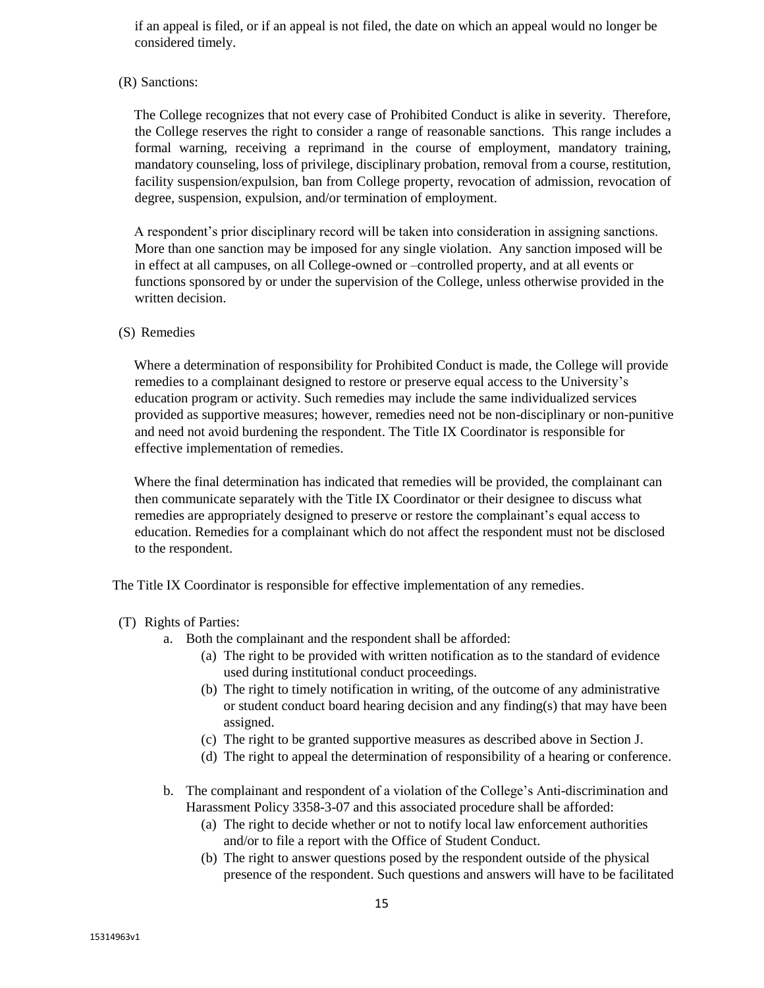if an appeal is filed, or if an appeal is not filed, the date on which an appeal would no longer be considered timely.

## (R) Sanctions:

The College recognizes that not every case of Prohibited Conduct is alike in severity. Therefore, the College reserves the right to consider a range of reasonable sanctions. This range includes a formal warning, receiving a reprimand in the course of employment, mandatory training, mandatory counseling, loss of privilege, disciplinary probation, removal from a course, restitution, facility suspension/expulsion, ban from College property, revocation of admission, revocation of degree, suspension, expulsion, and/or termination of employment.

A respondent's prior disciplinary record will be taken into consideration in assigning sanctions. More than one sanction may be imposed for any single violation. Any sanction imposed will be in effect at all campuses, on all College-owned or –controlled property, and at all events or functions sponsored by or under the supervision of the College, unless otherwise provided in the written decision.

#### (S) Remedies

Where a determination of responsibility for Prohibited Conduct is made, the College will provide remedies to a complainant designed to restore or preserve equal access to the University's education program or activity. Such remedies may include the same individualized services provided as supportive measures; however, remedies need not be non-disciplinary or non-punitive and need not avoid burdening the respondent. The Title IX Coordinator is responsible for effective implementation of remedies.

Where the final determination has indicated that remedies will be provided, the complainant can then communicate separately with the Title IX Coordinator or their designee to discuss what remedies are appropriately designed to preserve or restore the complainant's equal access to education. Remedies for a complainant which do not affect the respondent must not be disclosed to the respondent.

The Title IX Coordinator is responsible for effective implementation of any remedies.

- (T) Rights of Parties:
	- a. Both the complainant and the respondent shall be afforded:
		- (a) The right to be provided with written notification as to the standard of evidence used during institutional conduct proceedings.
		- (b) The right to timely notification in writing, of the outcome of any administrative or student conduct board hearing decision and any finding(s) that may have been assigned.
		- (c) The right to be granted supportive measures as described above in Section J.
		- (d) The right to appeal the determination of responsibility of a hearing or conference.
	- b. The complainant and respondent of a violation of the College's Anti-discrimination and Harassment Policy 3358-3-07 and this associated procedure shall be afforded:
		- (a) The right to decide whether or not to notify local law enforcement authorities and/or to file a report with the Office of Student Conduct.
		- (b) The right to answer questions posed by the respondent outside of the physical presence of the respondent. Such questions and answers will have to be facilitated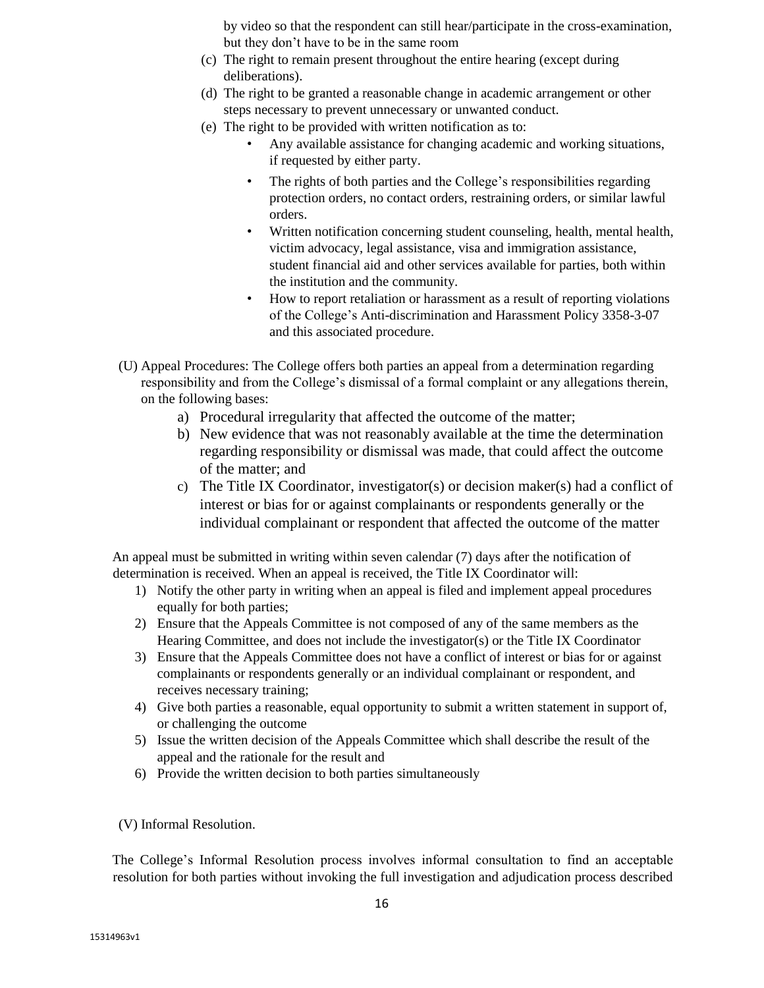by video so that the respondent can still hear/participate in the cross-examination, but they don't have to be in the same room

- (c) The right to remain present throughout the entire hearing (except during deliberations).
- (d) The right to be granted a reasonable change in academic arrangement or other steps necessary to prevent unnecessary or unwanted conduct.
- (e) The right to be provided with written notification as to:
	- Any available assistance for changing academic and working situations, if requested by either party.
	- The rights of both parties and the College's responsibilities regarding protection orders, no contact orders, restraining orders, or similar lawful orders.
	- Written notification concerning student counseling, health, mental health, victim advocacy, legal assistance, visa and immigration assistance, student financial aid and other services available for parties, both within the institution and the community.
	- How to report retaliation or harassment as a result of reporting violations of the College's Anti-discrimination and Harassment Policy 3358-3-07 and this associated procedure.
- (U) Appeal Procedures: The College offers both parties an appeal from a determination regarding responsibility and from the College's dismissal of a formal complaint or any allegations therein, on the following bases:
	- a) Procedural irregularity that affected the outcome of the matter;
	- b) New evidence that was not reasonably available at the time the determination regarding responsibility or dismissal was made, that could affect the outcome of the matter; and
	- c) The Title IX Coordinator, investigator(s) or decision maker(s) had a conflict of interest or bias for or against complainants or respondents generally or the individual complainant or respondent that affected the outcome of the matter

An appeal must be submitted in writing within seven calendar (7) days after the notification of determination is received. When an appeal is received, the Title IX Coordinator will:

- 1) Notify the other party in writing when an appeal is filed and implement appeal procedures equally for both parties;
- 2) Ensure that the Appeals Committee is not composed of any of the same members as the Hearing Committee, and does not include the investigator(s) or the Title IX Coordinator
- 3) Ensure that the Appeals Committee does not have a conflict of interest or bias for or against complainants or respondents generally or an individual complainant or respondent, and receives necessary training;
- 4) Give both parties a reasonable, equal opportunity to submit a written statement in support of, or challenging the outcome
- 5) Issue the written decision of the Appeals Committee which shall describe the result of the appeal and the rationale for the result and
- 6) Provide the written decision to both parties simultaneously
- (V) Informal Resolution.

The College's Informal Resolution process involves informal consultation to find an acceptable resolution for both parties without invoking the full investigation and adjudication process described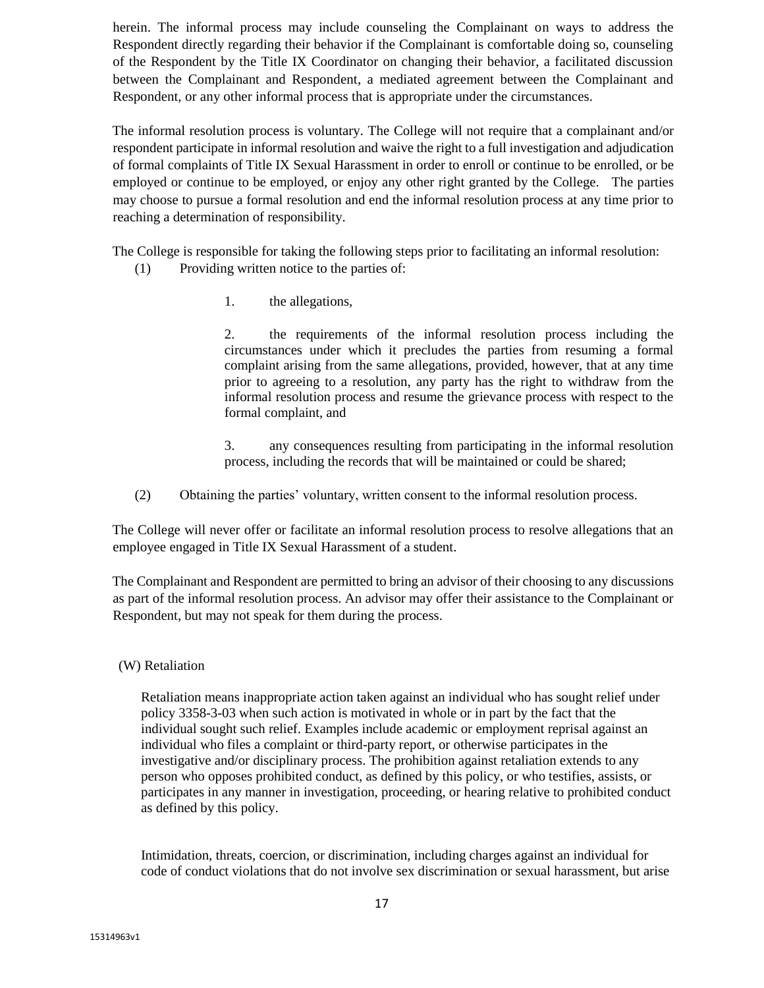herein. The informal process may include counseling the Complainant on ways to address the Respondent directly regarding their behavior if the Complainant is comfortable doing so, counseling of the Respondent by the Title IX Coordinator on changing their behavior, a facilitated discussion between the Complainant and Respondent, a mediated agreement between the Complainant and Respondent, or any other informal process that is appropriate under the circumstances.

The informal resolution process is voluntary. The College will not require that a complainant and/or respondent participate in informal resolution and waive the right to a full investigation and adjudication of formal complaints of Title IX Sexual Harassment in order to enroll or continue to be enrolled, or be employed or continue to be employed, or enjoy any other right granted by the College. The parties may choose to pursue a formal resolution and end the informal resolution process at any time prior to reaching a determination of responsibility.

The College is responsible for taking the following steps prior to facilitating an informal resolution:

- (1) Providing written notice to the parties of:
	- 1. the allegations,

2. the requirements of the informal resolution process including the circumstances under which it precludes the parties from resuming a formal complaint arising from the same allegations, provided, however, that at any time prior to agreeing to a resolution, any party has the right to withdraw from the informal resolution process and resume the grievance process with respect to the formal complaint, and

3. any consequences resulting from participating in the informal resolution process, including the records that will be maintained or could be shared;

(2) Obtaining the parties' voluntary, written consent to the informal resolution process.

The College will never offer or facilitate an informal resolution process to resolve allegations that an employee engaged in Title IX Sexual Harassment of a student.

The Complainant and Respondent are permitted to bring an advisor of their choosing to any discussions as part of the informal resolution process. An advisor may offer their assistance to the Complainant or Respondent, but may not speak for them during the process.

(W) Retaliation

Retaliation means inappropriate action taken against an individual who has sought relief under policy 3358-3-03 when such action is motivated in whole or in part by the fact that the individual sought such relief. Examples include academic or employment reprisal against an individual who files a complaint or third-party report, or otherwise participates in the investigative and/or disciplinary process. The prohibition against retaliation extends to any person who opposes prohibited conduct, as defined by this policy, or who testifies, assists, or participates in any manner in investigation, proceeding, or hearing relative to prohibited conduct as defined by this policy.

Intimidation, threats, coercion, or discrimination, including charges against an individual for code of conduct violations that do not involve sex discrimination or sexual harassment, but arise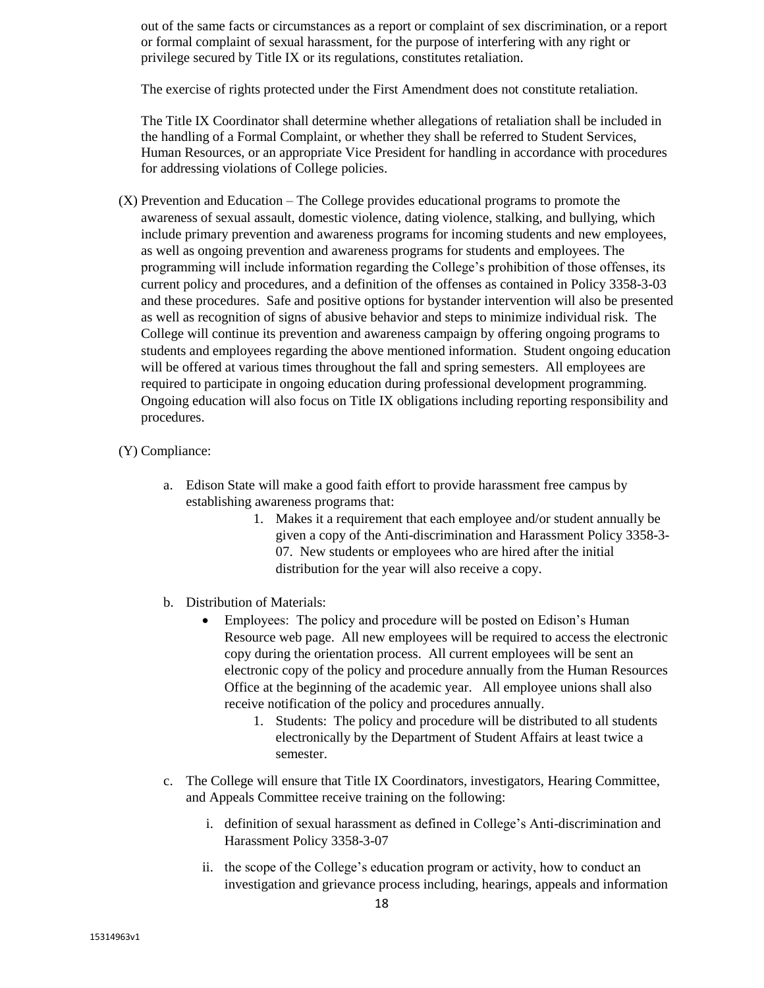out of the same facts or circumstances as a report or complaint of sex discrimination, or a report or formal complaint of sexual harassment, for the purpose of interfering with any right or privilege secured by Title IX or its regulations, constitutes retaliation.

The exercise of rights protected under the First Amendment does not constitute retaliation.

The Title IX Coordinator shall determine whether allegations of retaliation shall be included in the handling of a Formal Complaint, or whether they shall be referred to Student Services, Human Resources, or an appropriate Vice President for handling in accordance with procedures for addressing violations of College policies.

(X) Prevention and Education – The College provides educational programs to promote the awareness of sexual assault, domestic violence, dating violence, stalking, and bullying, which include primary prevention and awareness programs for incoming students and new employees, as well as ongoing prevention and awareness programs for students and employees. The programming will include information regarding the College's prohibition of those offenses, its current policy and procedures, and a definition of the offenses as contained in Policy 3358-3-03 and these procedures. Safe and positive options for bystander intervention will also be presented as well as recognition of signs of abusive behavior and steps to minimize individual risk. The College will continue its prevention and awareness campaign by offering ongoing programs to students and employees regarding the above mentioned information. Student ongoing education will be offered at various times throughout the fall and spring semesters. All employees are required to participate in ongoing education during professional development programming. Ongoing education will also focus on Title IX obligations including reporting responsibility and procedures.

### (Y) Compliance:

- a. Edison State will make a good faith effort to provide harassment free campus by establishing awareness programs that:
	- 1. Makes it a requirement that each employee and/or student annually be given a copy of the Anti-discrimination and Harassment Policy 3358-3- 07. New students or employees who are hired after the initial distribution for the year will also receive a copy.
- b. Distribution of Materials:
	- Employees: The policy and procedure will be posted on Edison's Human Resource web page. All new employees will be required to access the electronic copy during the orientation process. All current employees will be sent an electronic copy of the policy and procedure annually from the Human Resources Office at the beginning of the academic year. All employee unions shall also receive notification of the policy and procedures annually.
		- 1. Students: The policy and procedure will be distributed to all students electronically by the Department of Student Affairs at least twice a semester.
- c. The College will ensure that Title IX Coordinators, investigators, Hearing Committee, and Appeals Committee receive training on the following:
	- i. definition of sexual harassment as defined in College's Anti-discrimination and Harassment Policy 3358-3-07
	- ii. the scope of the College's education program or activity, how to conduct an investigation and grievance process including, hearings, appeals and information